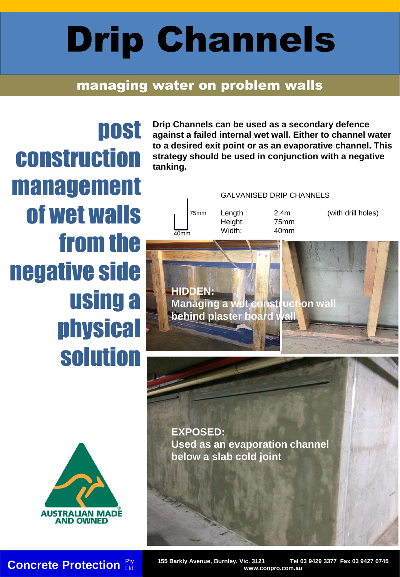## Drip Channels

## managing water on problem walls

post construction management of wet walls from the negative side using a physical solution

**Drip Channels can be used as a secondary defence against a failed internal wet wall. Either to channel water to a desired exit point or as an evaporative channel. This strategy should be used in conjunction with a negative tanking.** 

GALVANISED DRIP CHANNELS Length : 2.4m (with drill holes) Height: 75mm  $\frac{10}{40mm}$  Width: 40mm 75mm

**HIDDEN: Managing a wet construction wall behind plaster board wall**

**EXPOSED: Used as an evaporation channel below a slab cold joint**



**AUSTRALIAN MADE AND OWNED** 

**Concrete Protection Exampler 155 Barkly Avenue, Burnley. Vic. 3121** Tel 03 9429 3377 Fax 03 9427 0745